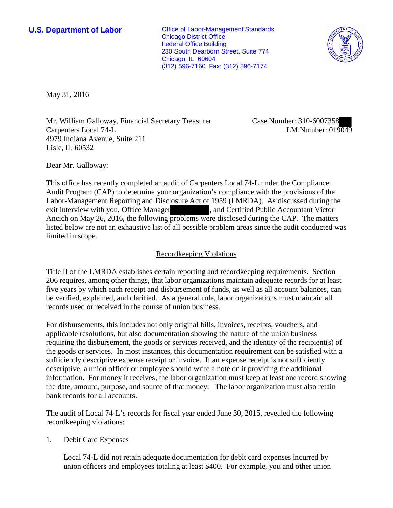**U.S. Department of Labor Conservative Conservative Conservative Conservative Conservative Conservative Conservative Conservative Conservative Conservative Conservative Conservative Conservative Conservative Conservative** Chicago District Office Federal Office Building 230 South Dearborn Street, Suite 774 Chicago, IL 60604 (312) 596-7160 Fax: (312) 596-7174



May 31, 2016

Mr. William Galloway, Financial Secretary Treasurer Carpenters Local 74-L 4979 Indiana Avenue, Suite 211 Lisle, IL 60532

Case Number: 310-6007358 LM Number: 019049

Dear Mr. Galloway:

This office has recently completed an audit of Carpenters Local 74-L under the Compliance Audit Program (CAP) to determine your organization's compliance with the provisions of the Labor-Management Reporting and Disclosure Act of 1959 (LMRDA). As discussed during the exit interview with you, Office Manager , and Certified Public Accountant Victor Ancich on May 26, 2016, the following problems were disclosed during the CAP. The matters listed below are not an exhaustive list of all possible problem areas since the audit conducted was limited in scope.

### Recordkeeping Violations

Title II of the LMRDA establishes certain reporting and recordkeeping requirements. Section 206 requires, among other things, that labor organizations maintain adequate records for at least five years by which each receipt and disbursement of funds, as well as all account balances, can be verified, explained, and clarified. As a general rule, labor organizations must maintain all records used or received in the course of union business.

For disbursements, this includes not only original bills, invoices, receipts, vouchers, and applicable resolutions, but also documentation showing the nature of the union business requiring the disbursement, the goods or services received, and the identity of the recipient(s) of the goods or services. In most instances, this documentation requirement can be satisfied with a sufficiently descriptive expense receipt or invoice. If an expense receipt is not sufficiently descriptive, a union officer or employee should write a note on it providing the additional information. For money it receives, the labor organization must keep at least one record showing the date, amount, purpose, and source of that money. The labor organization must also retain bank records for all accounts.

The audit of Local 74-L's records for fiscal year ended June 30, 2015, revealed the following recordkeeping violations:

1. Debit Card Expenses

Local 74-L did not retain adequate documentation for debit card expenses incurred by union officers and employees totaling at least \$400. For example, you and other union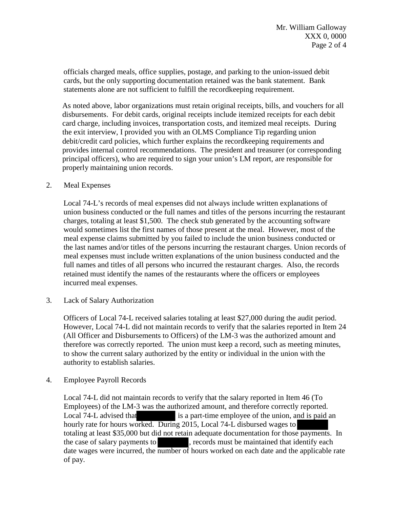officials charged meals, office supplies, postage, and parking to the union-issued debit cards, but the only supporting documentation retained was the bank statement. Bank statements alone are not sufficient to fulfill the recordkeeping requirement.

As noted above, labor organizations must retain original receipts, bills, and vouchers for all disbursements. For debit cards, original receipts include itemized receipts for each debit card charge, including invoices, transportation costs, and itemized meal receipts. During the exit interview, I provided you with an OLMS Compliance Tip regarding union debit/credit card policies, which further explains the recordkeeping requirements and provides internal control recommendations. The president and treasurer (or corresponding principal officers), who are required to sign your union's LM report, are responsible for properly maintaining union records.

#### 2. Meal Expenses

Local 74-L's records of meal expenses did not always include written explanations of union business conducted or the full names and titles of the persons incurring the restaurant charges, totaling at least \$1,500. The check stub generated by the accounting software would sometimes list the first names of those present at the meal. However, most of the meal expense claims submitted by you failed to include the union business conducted or the last names and/or titles of the persons incurring the restaurant charges. Union records of meal expenses must include written explanations of the union business conducted and the full names and titles of all persons who incurred the restaurant charges. Also, the records retained must identify the names of the restaurants where the officers or employees incurred meal expenses.

3. Lack of Salary Authorization

Officers of Local 74-L received salaries totaling at least \$27,000 during the audit period. However, Local 74-L did not maintain records to verify that the salaries reported in Item 24 (All Officer and Disbursements to Officers) of the LM-3 was the authorized amount and therefore was correctly reported. The union must keep a record, such as meeting minutes, to show the current salary authorized by the entity or individual in the union with the authority to establish salaries.

#### 4. Employee Payroll Records

Local 74-L did not maintain records to verify that the salary reported in Item 46 (To Employees) of the LM-3 was the authorized amount, and therefore correctly reported. Local 74-L advised that is a part-time employee of the union, and is paid an hourly rate for hours worked. During 2015, Local 74-L disbursed wages to totaling at least \$35,000 but did not retain adequate documentation for those payments. In the case of salary payments to , records must be maintained that identify each date wages were incurred, the number of hours worked on each date and the applicable rate of pay.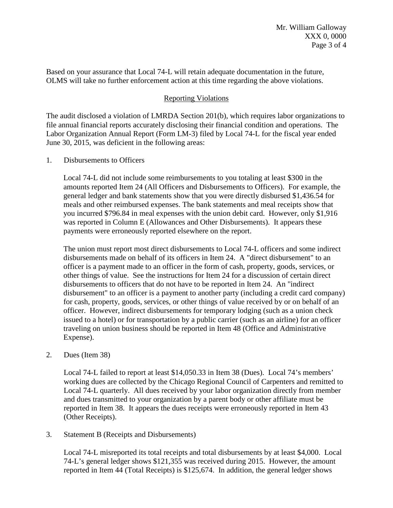Based on your assurance that Local 74-L will retain adequate documentation in the future, OLMS will take no further enforcement action at this time regarding the above violations.

# Reporting Violations

The audit disclosed a violation of LMRDA Section 201(b), which requires labor organizations to file annual financial reports accurately disclosing their financial condition and operations. The Labor Organization Annual Report (Form LM-3) filed by Local 74-L for the fiscal year ended June 30, 2015, was deficient in the following areas:

#### 1. Disbursements to Officers

Local 74-L did not include some reimbursements to you totaling at least \$300 in the amounts reported Item 24 (All Officers and Disbursements to Officers). For example, the general ledger and bank statements show that you were directly disbursed \$1,436.54 for meals and other reimbursed expenses. The bank statements and meal receipts show that you incurred \$796.84 in meal expenses with the union debit card. However, only \$1,916 was reported in Column E (Allowances and Other Disbursements). It appears these payments were erroneously reported elsewhere on the report.

The union must report most direct disbursements to Local 74-L officers and some indirect disbursements made on behalf of its officers in Item 24. A "direct disbursement" to an officer is a payment made to an officer in the form of cash, property, goods, services, or other things of value. See the instructions for Item 24 for a discussion of certain direct disbursements to officers that do not have to be reported in Item 24. An "indirect disbursement" to an officer is a payment to another party (including a credit card company) for cash, property, goods, services, or other things of value received by or on behalf of an officer. However, indirect disbursements for temporary lodging (such as a union check issued to a hotel) or for transportation by a public carrier (such as an airline) for an officer traveling on union business should be reported in Item 48 (Office and Administrative Expense).

## 2. Dues (Item 38)

Local 74-L failed to report at least \$14,050.33 in Item 38 (Dues). Local 74's members' working dues are collected by the Chicago Regional Council of Carpenters and remitted to Local 74-L quarterly. All dues received by your labor organization directly from member and dues transmitted to your organization by a parent body or other affiliate must be reported in Item 38. It appears the dues receipts were erroneously reported in Item 43 (Other Receipts).

3. Statement B (Receipts and Disbursements)

Local 74-L misreported its total receipts and total disbursements by at least \$4,000. Local 74-L's general ledger shows \$121,355 was received during 2015. However, the amount reported in Item 44 (Total Receipts) is \$125,674. In addition, the general ledger shows